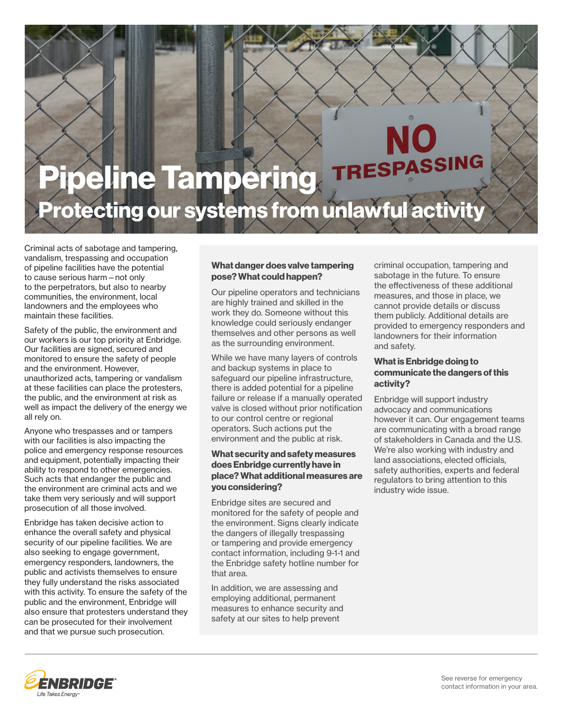

Criminal acts of sabotage and tampering, vandalism, trespassing and occupation of pipeline facilities have the potential to cause serious harm—not only to the perpetrators, but also to nearby communities, the environment, local landowners and the employees who maintain these facilities.

Safety of the public, the environment and our workers is our top priority at Enbridge. Our facilities are signed, secured and monitored to ensure the safety of people and the environment. However, unauthorized acts, tampering or vandalism at these facilities can place the protesters, the public, and the environment at risk as well as impact the delivery of the energy we all rely on.

Anyone who trespasses and or tampers with our facilities is also impacting the police and emergency response resources and equipment, potentially impacting their ability to respond to other emergencies. Such acts that endanger the public and the environment are criminal acts and we take them very seriously and will support prosecution of all those involved.

Enbridge has taken decisive action to enhance the overall safety and physical security of our pipeline facilities. We are also seeking to engage government, emergency responders, landowners, the public and activists themselves to ensure they fully understand the risks associated with this activity. To ensure the safety of the public and the environment, Enbridge will also ensure that protesters understand they can be prosecuted for their involvement and that we pursue such prosecution.

### What danger does valve tampering pose? What could happen?

Our pipeline operators and technicians are highly trained and skilled in the work they do. Someone without this knowledge could seriously endanger themselves and other persons as well as the surrounding environment.

While we have many layers of controls and backup systems in place to safeguard our pipeline infrastructure, there is added potential for a pipeline failure or release if a manually operated valve is closed without prior notification to our control centre or regional operators. Such actions put the environment and the public at risk.

### What security and safety measures does Enbridge currently have in place? What additional measures are you considering?

Enbridge sites are secured and monitored for the safety of people and the environment. Signs clearly indicate the dangers of illegally trespassing or tampering and provide emergency contact information, including 9-1-1 and the Enbridge safety hotline number for that area.

In addition, we are assessing and employing additional, permanent measures to enhance security and safety at our sites to help prevent

criminal occupation, tampering and sabotage in the future. To ensure the effectiveness of these additional measures, and those in place, we cannot provide details or discuss them publicly. Additional details are provided to emergency responders and landowners for their information and safety.

### What is Enbridge doing to communicate the dangers of this activity?

Enbridge will support industry advocacy and communications however it can. Our engagement teams are communicating with a broad range of stakeholders in Canada and the U.S. We're also working with industry and land associations, elected officials, safety authorities, experts and federal regulators to bring attention to this industry wide issue.